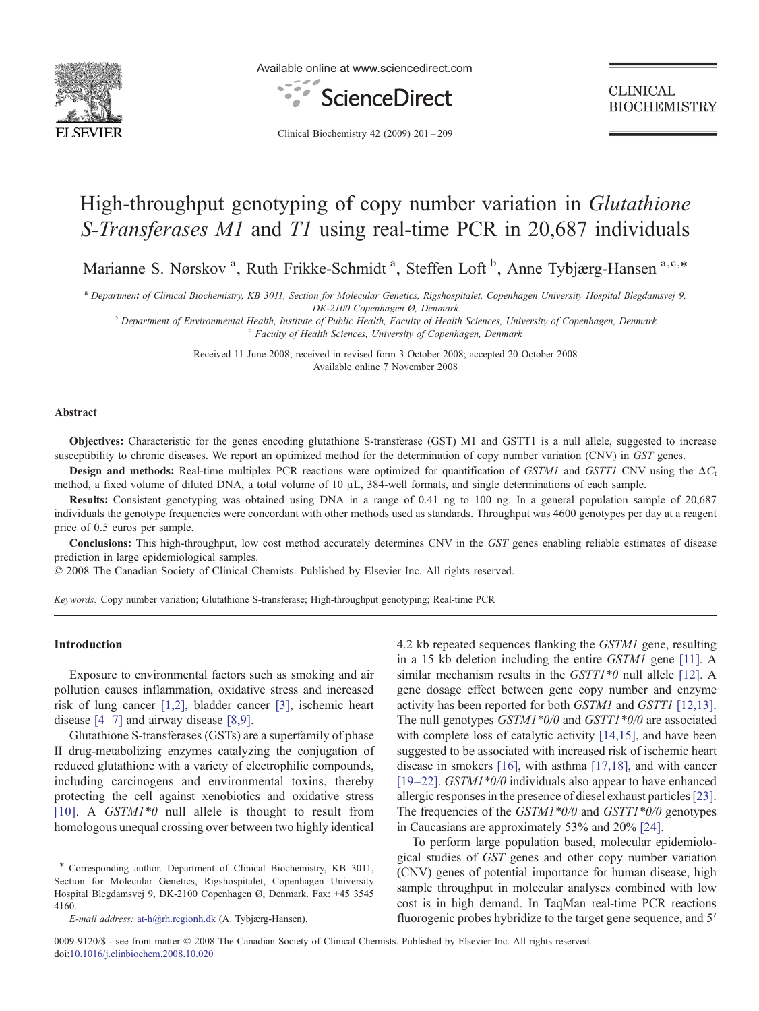

Available online at www.sciencedirect.com



**CLINICAL BIOCHEMISTRY** 

Clinical Biochemistry 42 (2009) 201–209

# High-throughput genotyping of copy number variation in *Glutathione* S-Transferases M1 and T1 using real-time PCR in 20,687 individuals

Marianne S. Nørskov<sup>a</sup>, Ruth Frikke-Schmidt<sup>a</sup>, Steffen Loft<sup>b</sup>, Anne Tybjærg-Hansen<sup>a,c,\*</sup>

<sup>a</sup> Department of Clinical Biochemistry, KB 3011, Section for Molecular Genetics, Rigshospitalet, Copenhagen University Hospital Blegdamsvej 9,

DK-2100 Copenhagen Ø, Denmark<br><sup>b</sup> Department of Environmental Health, Institute of Public Health, Faculty of Health Sciences, University of Copenhagen, Denmark c Faculty of Health Sciences, University of Copenhagen, Denmar

Received 11 June 2008; received in revised form 3 October 2008; accepted 20 October 2008 Available online 7 November 2008

#### Abstract

Objectives: Characteristic for the genes encoding glutathione S-transferase (GST) M1 and GSTT1 is a null allele, suggested to increase susceptibility to chronic diseases. We report an optimized method for the determination of copy number variation (CNV) in GST genes.

**Design and methods:** Real-time multiplex PCR reactions were optimized for quantification of GSTM1 and GSTT1 CNV using the  $\Delta C_t$ method, a fixed volume of diluted DNA, a total volume of 10 μL, 384-well formats, and single determinations of each sample.

Results: Consistent genotyping was obtained using DNA in a range of 0.41 ng to 100 ng. In a general population sample of 20,687 individuals the genotype frequencies were concordant with other methods used as standards. Throughput was 4600 genotypes per day at a reagent price of 0.5 euros per sample.

Conclusions: This high-throughput, low cost method accurately determines CNV in the GST genes enabling reliable estimates of disease prediction in large epidemiological samples.

© 2008 The Canadian Society of Clinical Chemists. Published by Elsevier Inc. All rights reserved.

Keywords: Copy number variation; Glutathione S-transferase; High-throughput genotyping; Real-time PCR

## Introduction

Exposure to environmental factors such as smoking and air pollution causes inflammation, oxidative stress and increased risk of lung cancer [\[1,2\]](#page-8-0), bladder cancer [\[3\],](#page-8-0) ischemic heart disease  $[4-7]$  $[4-7]$  and airway disease  $[8,9]$ .

Glutathione S-transferases (GSTs) are a superfamily of phase II drug-metabolizing enzymes catalyzing the conjugation of reduced glutathione with a variety of electrophilic compounds, including carcinogens and environmental toxins, thereby protecting the cell against xenobiotics and oxidative stress [\[10\].](#page-8-0) A GSTM1<sup>\*0</sup> null allele is thought to result from homologous unequal crossing over between two highly identical

4.2 kb repeated sequences flanking the GSTM1 gene, resulting in a 15 kb deletion including the entire GSTM1 gene [\[11\]](#page-8-0). A similar mechanism results in the GSTT1\*0 null allele [\[12\]](#page-8-0). A gene dosage effect between gene copy number and enzyme activity has been reported for both GSTM1 and GSTT1 [\[12,13\]](#page-8-0). The null genotypes *GSTM1*\*0/0 and *GSTT1*\*0/0 are associated with complete loss of catalytic activity [\[14,15\]](#page-8-0), and have been suggested to be associated with increased risk of ischemic heart disease in smokers [\[16\],](#page-8-0) with asthma [\[17,18\]](#page-8-0), and with cancer [19–[22\].](#page-8-0) GSTM1\*0/0 individuals also appear to have enhanced allergic responses in the presence of diesel exhaust particles[\[23\]](#page-8-0). The frequencies of the  $GSTM1*0/0$  and  $GSTT1*0/0$  genotypes in Caucasians are approximately 53% and 20% [\[24\].](#page-8-0)

To perform large population based, molecular epidemiological studies of GST genes and other copy number variation (CNV) genes of potential importance for human disease, high sample throughput in molecular analyses combined with low cost is in high demand. In TaqMan real-time PCR reactions fluorogenic probes hybridize to the target gene sequence, and 5'

0009-9120/\$ - see front matter © 2008 The Canadian Society of Clinical Chemists. Published by Elsevier Inc. All rights reserved. doi:[10.1016/j.clinbiochem.2008.10.020](http://dx.doi.org/10.1016/j.clinbiochem.2008.10.020)

<sup>\*</sup> Corresponding author. Department of Clinical Biochemistry, KB 3011, Section for Molecular Genetics, Rigshospitalet, Copenhagen University Hospital Blegdamsvej 9, DK-2100 Copenhagen Ø, Denmark. Fax: +45 3545 4160.

E-mail address: [at-h@rh.regionh.dk](mailto:at-h@rh.regionh.dk) (A. Tybjærg-Hansen).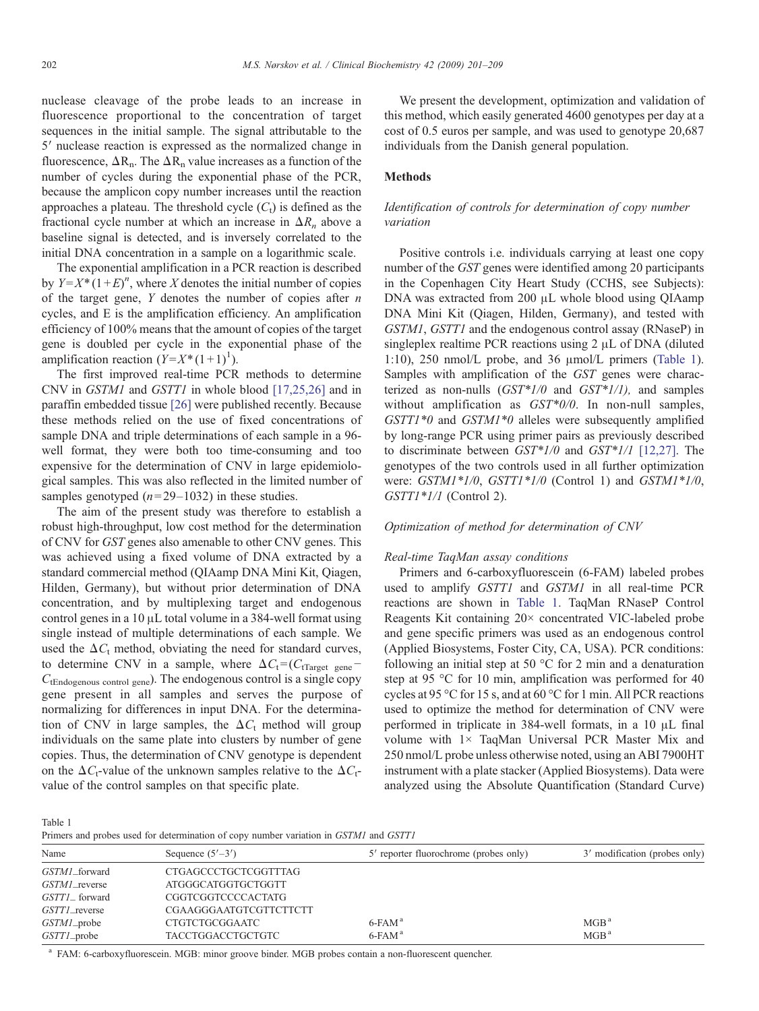nuclease cleavage of the probe leads to an increase in fluorescence proportional to the concentration of target sequences in the initial sample. The signal attributable to the 5′ nuclease reaction is expressed as the normalized change in fluorescence,  $\Delta R_n$ . The  $\Delta R_n$  value increases as a function of the number of cycles during the exponential phase of the PCR, because the amplicon copy number increases until the reaction approaches a plateau. The threshold cycle  $(C_t)$  is defined as the fractional cycle number at which an increase in  $\Delta R_n$  above a baseline signal is detected, and is inversely correlated to the initial DNA concentration in a sample on a logarithmic scale.

The exponential amplification in a PCR reaction is described by  $Y = X^* (1 + E)^n$ , where X denotes the initial number of copies of the target gene,  $Y$  denotes the number of copies after  $n$ cycles, and E is the amplification efficiency. An amplification efficiency of 100% means that the amount of copies of the target gene is doubled per cycle in the exponential phase of the amplification reaction  $(Y=X^*(1+1)^1)$ .

The first improved real-time PCR methods to determine CNV in GSTM1 and GSTT1 in whole blood [\[17,25,26\]](#page-8-0) and in paraffin embedded tissue [\[26\]](#page-8-0) were published recently. Because these methods relied on the use of fixed concentrations of sample DNA and triple determinations of each sample in a 96 well format, they were both too time-consuming and too expensive for the determination of CNV in large epidemiological samples. This was also reflected in the limited number of samples genotyped  $(n=29-1032)$  in these studies.

The aim of the present study was therefore to establish a robust high-throughput, low cost method for the determination of CNV for GST genes also amenable to other CNV genes. This was achieved using a fixed volume of DNA extracted by a standard commercial method (QIAamp DNA Mini Kit, Qiagen, Hilden, Germany), but without prior determination of DNA concentration, and by multiplexing target and endogenous control genes in a 10 μL total volume in a 384-well format using single instead of multiple determinations of each sample. We used the  $\Delta C_t$  method, obviating the need for standard curves, to determine CNV in a sample, where  $\Delta C_t = (C_{tTarget\ gene} -$ CtEndogenous control gene). The endogenous control is a single copy gene present in all samples and serves the purpose of normalizing for differences in input DNA. For the determination of CNV in large samples, the  $\Delta C_t$  method will group individuals on the same plate into clusters by number of gene copies. Thus, the determination of CNV genotype is dependent on the  $\Delta C_t$ -value of the unknown samples relative to the  $\Delta C_t$ value of the control samples on that specific plate.

We present the development, optimization and validation of this method, which easily generated 4600 genotypes per day at a cost of 0.5 euros per sample, and was used to genotype 20,687 individuals from the Danish general population.

## **Methods**

# Identification of controls for determination of copy number variation

Positive controls i.e. individuals carrying at least one copy number of the GST genes were identified among 20 participants in the Copenhagen City Heart Study (CCHS, see Subjects): DNA was extracted from 200 μL whole blood using QIAamp DNA Mini Kit (Qiagen, Hilden, Germany), and tested with GSTM1, GSTT1 and the endogenous control assay (RNaseP) in singleplex realtime PCR reactions using 2 μL of DNA (diluted 1:10), 250 nmol/L probe, and 36 μmol/L primers (Table 1). Samples with amplification of the GST genes were characterized as non-nulls  $(GST*1/0)$  and  $GST*1/1$ , and samples without amplification as  $GST*0/0$ . In non-null samples, GSTT1\*0 and GSTM1\*0 alleles were subsequently amplified by long-range PCR using primer pairs as previously described to discriminate between GST\*1/0 and GST\*1/1 [\[12,27\].](#page-8-0) The genotypes of the two controls used in all further optimization were:  $GSTM1*1/0$ ,  $GSTT1*1/0$  (Control 1) and  $GSTM1*1/0$ , GSTT1\*1/1 (Control 2).

## Optimization of method for determination of CNV

#### Real-time TaqMan assay conditions

Primers and 6-carboxyfluorescein (6-FAM) labeled probes used to amplify GSTT1 and GSTM1 in all real-time PCR reactions are shown in Table 1. TaqMan RNaseP Control Reagents Kit containing 20× concentrated VIC-labeled probe and gene specific primers was used as an endogenous control (Applied Biosystems, Foster City, CA, USA). PCR conditions: following an initial step at 50  $\degree$ C for 2 min and a denaturation step at 95 °C for 10 min, amplification was performed for 40 cycles at 95 °C for 15 s, and at 60 °C for 1 min. All PCR reactions used to optimize the method for determination of CNV were performed in triplicate in 384-well formats, in a 10 μL final volume with 1× TaqMan Universal PCR Master Mix and 250 nmol/L probe unless otherwise noted, using an ABI 7900HT instrument with a plate stacker (Applied Biosystems). Data were analyzed using the Absolute Quantification (Standard Curve)

Table 1

Primers and probes used for determination of copy number variation in GSTM1 and GSTT1

| Name          | Sequence $(5'–3')$       | 5' reporter fluorochrome (probes only) | 3' modification (probes only) |
|---------------|--------------------------|----------------------------------------|-------------------------------|
| GSTM1_forward | CTGAGCCCTGCTCGGTTTAG     |                                        |                               |
| GSTM1_reverse | ATGGGCATGGTGCTGGTT       |                                        |                               |
| GSTT1_forward | CGGTCGGTCCCCACTATG       |                                        |                               |
| GSTT1_reverse | CGAAGGGAATGTCGTTCTTCTT   |                                        |                               |
| GSTM1_probe   | <b>CTGTCTGCGGAATC</b>    | $6$ -FAM $^{\rm a}$                    | MGB <sup>a</sup>              |
| GSTT1_probe   | <b>TACCTGGACCTGCTGTC</b> | $6$ -FAM $^{\rm a}$                    | MGB <sup>a</sup>              |
|               |                          |                                        |                               |

<sup>a</sup> FAM: 6-carboxyfluorescein. MGB: minor groove binder. MGB probes contain a non-fluorescent quencher.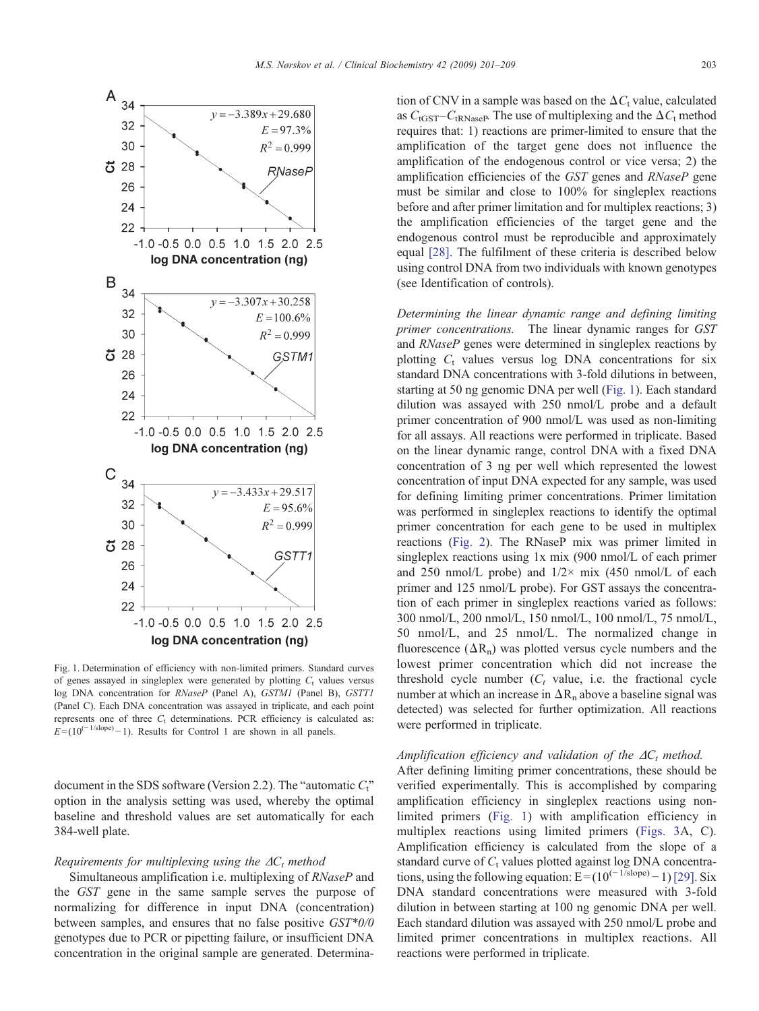<span id="page-2-0"></span>

Fig. 1. Determination of efficiency with non-limited primers. Standard curves of genes assayed in singleplex were generated by plotting  $C_t$  values versus log DNA concentration for RNaseP (Panel A), GSTM1 (Panel B), GSTT1 (Panel C). Each DNA concentration was assayed in triplicate, and each point represents one of three  $C_t$  determinations. PCR efficiency is calculated as:  $E = (10^{(-1/\text{slope})} - 1)$ . Results for Control 1 are shown in all panels.

document in the SDS software (Version 2.2). The "automatic  $C_t$ " option in the analysis setting was used, whereby the optimal baseline and threshold values are set automatically for each 384-well plate.

### Requirements for multiplexing using the  $\Delta C_t$  method

Simultaneous amplification i.e. multiplexing of RNaseP and the GST gene in the same sample serves the purpose of normalizing for difference in input DNA (concentration) between samples, and ensures that no false positive GST\*0/0 genotypes due to PCR or pipetting failure, or insufficient DNA concentration in the original sample are generated. Determination of CNV in a sample was based on the  $\Delta C_t$  value, calculated as  $C_{\text{tGST}}-C_{\text{tRNaseP}}$ . The use of multiplexing and the  $\Delta C_{\text{t}}$  method requires that: 1) reactions are primer-limited to ensure that the amplification of the target gene does not influence the amplification of the endogenous control or vice versa; 2) the amplification efficiencies of the GST genes and RNaseP gene must be similar and close to 100% for singleplex reactions before and after primer limitation and for multiplex reactions; 3) the amplification efficiencies of the target gene and the endogenous control must be reproducible and approximately equal [\[28\].](#page-8-0) The fulfilment of these criteria is described below using control DNA from two individuals with known genotypes (see Identification of controls).

Determining the linear dynamic range and defining limiting primer concentrations. The linear dynamic ranges for GST and RNaseP genes were determined in singleplex reactions by plotting  $C_t$  values versus log DNA concentrations for six standard DNA concentrations with 3-fold dilutions in between, starting at 50 ng genomic DNA per well (Fig. 1). Each standard dilution was assayed with 250 nmol/L probe and a default primer concentration of 900 nmol/L was used as non-limiting for all assays. All reactions were performed in triplicate. Based on the linear dynamic range, control DNA with a fixed DNA concentration of 3 ng per well which represented the lowest concentration of input DNA expected for any sample, was used for defining limiting primer concentrations. Primer limitation was performed in singleplex reactions to identify the optimal primer concentration for each gene to be used in multiplex reactions [\(Fig. 2](#page-3-0)). The RNaseP mix was primer limited in singleplex reactions using 1x mix (900 nmol/L of each primer and 250 nmol/L probe) and  $1/2 \times$  mix (450 nmol/L of each primer and 125 nmol/L probe). For GST assays the concentration of each primer in singleplex reactions varied as follows: 300 nmol/L, 200 nmol/L, 150 nmol/L, 100 nmol/L, 75 nmol/L, 50 nmol/L, and 25 nmol/L. The normalized change in fluorescence  $(\Delta R_n)$  was plotted versus cycle numbers and the lowest primer concentration which did not increase the threshold cycle number  $(C_t$  value, i.e. the fractional cycle number at which an increase in  $\Delta R_n$  above a baseline signal was detected) was selected for further optimization. All reactions were performed in triplicate.

# Amplification efficiency and validation of the  $\Delta C_t$  method.

After defining limiting primer concentrations, these should be verified experimentally. This is accomplished by comparing amplification efficiency in singleplex reactions using nonlimited primers (Fig. 1) with amplification efficiency in multiplex reactions using limited primers ([Figs. 3A](#page-3-0), C). Amplification efficiency is calculated from the slope of a standard curve of  $C_t$  values plotted against log DNA concentrations, using the following equation:  $E = (10^{(-1/slope)} - 1)$  [\[29\]](#page-8-0). Six DNA standard concentrations were measured with 3-fold dilution in between starting at 100 ng genomic DNA per well. Each standard dilution was assayed with 250 nmol/L probe and limited primer concentrations in multiplex reactions. All reactions were performed in triplicate.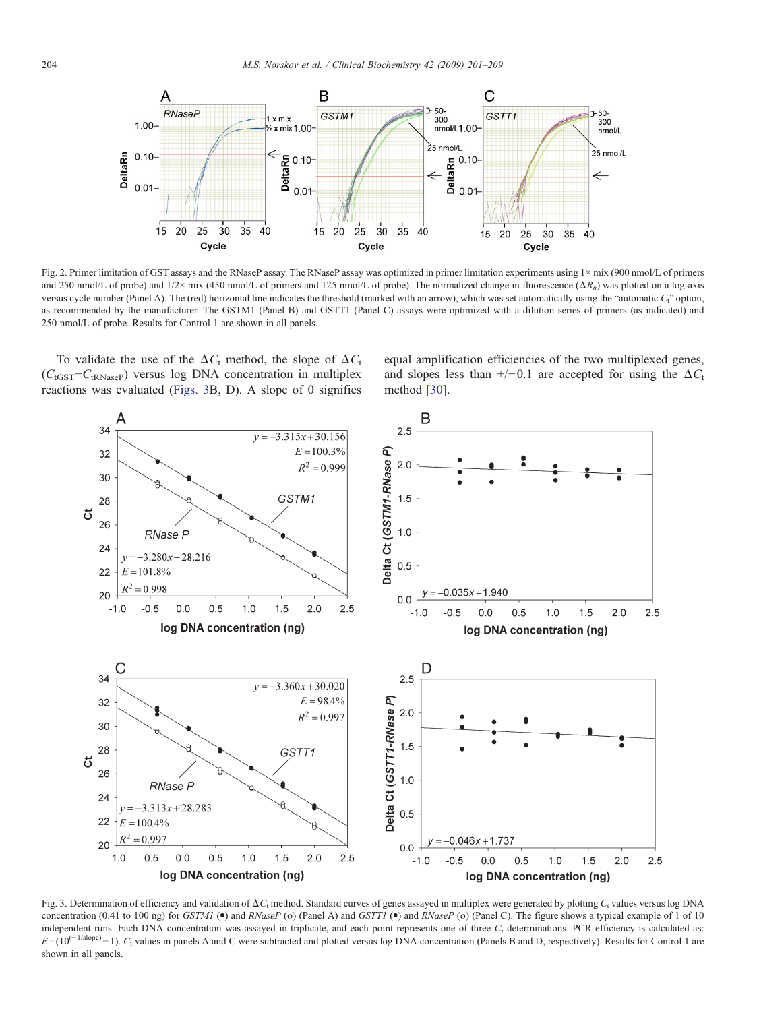<span id="page-3-0"></span>

Fig. 2. Primer limitation of GST assays and the RNaseP assay. The RNaseP assay was optimized in primer limitation experiments using 1× mix (900 nmol/L of primers and 250 nmol/L of probe) and  $1/2 \times$  mix (450 nmol/L of primers and 125 nmol/L of probe). The normalized change in fluorescence  $(\Delta R_n)$  was plotted on a log-axis versus cycle number (Panel A). The (red) horizontal line indicates the threshold (marked with an arrow), which was set automatically using the "automatic  $C_1$ " option, as recommended by the manufacturer. The GSTM1 (Panel B) and GSTT1 (Panel C) assays were optimized with a dilution series of primers (as indicated) and 250 nmol/L of probe. Results for Control 1 are shown in all panels.

To validate the use of the  $\Delta C_t$  method, the slope of  $\Delta C_t$ (C<sub>tGST</sub>-C<sub>tRNaseP</sub>) versus log DNA concentration in multiplex reactions was evaluated (Figs. 3B, D). A slope of 0 signifies

equal amplification efficiencies of the two multiplexed genes, and slopes less than +/−0.1 are accepted for using the  $\Delta C_t$ method [\[30\].](#page-8-0)



Fig. 3. Determination of efficiency and validation of  $\Delta C_t$  method. Standard curves of genes assayed in multiplex were generated by plotting  $C_t$  values versus log DNA concentration (0.41 to 100 ng) for GSTM1 ( $\bullet$ ) and RNaseP (o) (Panel A) and GSTT1 ( $\bullet$ ) and RNaseP (o) (Panel C). The figure shows a typical example of 1 of 10 independent runs. Each DNA concentration was assayed in triplicate, and each point represents one of three  $C_t$  determinations. PCR efficiency is calculated as:  $E = (10^{(-1/\text{slope})} - 1)$ . C<sub>t</sub> values in panels A and C were subtracted and plotted versus log DNA concentration (Panels B and D, respectively). Results for Control 1 are shown in all panels.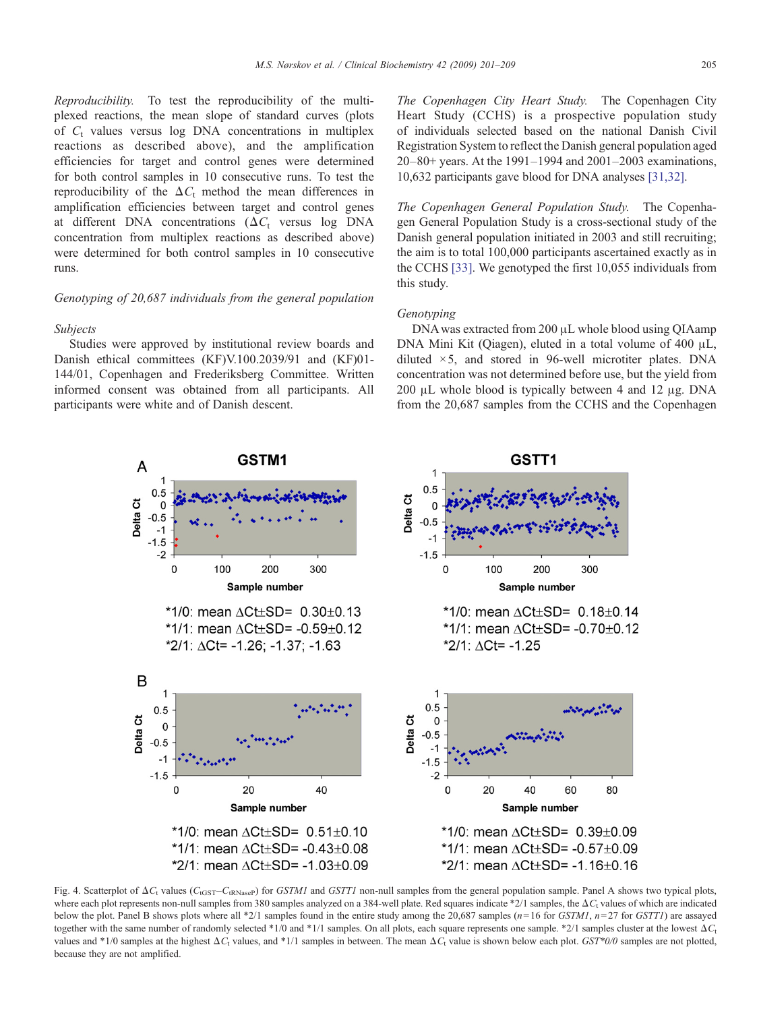<span id="page-4-0"></span>Reproducibility. To test the reproducibility of the multiplexed reactions, the mean slope of standard curves (plots of  $C_t$  values versus log DNA concentrations in multiplex reactions as described above), and the amplification efficiencies for target and control genes were determined for both control samples in 10 consecutive runs. To test the reproducibility of the  $\Delta C_t$  method the mean differences in amplification efficiencies between target and control genes at different DNA concentrations ( $\Delta C_t$  versus log DNA concentration from multiplex reactions as described above) were determined for both control samples in 10 consecutive runs.

# Genotyping of 20,687 individuals from the general population

#### Subjects

Studies were approved by institutional review boards and Danish ethical committees (KF)V.100.2039/91 and (KF)01- 144/01, Copenhagen and Frederiksberg Committee. Written informed consent was obtained from all participants. All participants were white and of Danish descent.

The Copenhagen City Heart Study. The Copenhagen City Heart Study (CCHS) is a prospective population study of individuals selected based on the national Danish Civil Registration System to reflect the Danish general population aged 20–80+ years. At the 1991–1994 and 2001–2003 examinations, 10,632 participants gave blood for DNA analyses [\[31,32\]](#page-8-0).

The Copenhagen General Population Study. The Copenhagen General Population Study is a cross-sectional study of the Danish general population initiated in 2003 and still recruiting; the aim is to total 100,000 participants ascertained exactly as in the CCHS [\[33\].](#page-8-0) We genotyped the first 10,055 individuals from this study.

# Genotyping

DNA was extracted from 200 μL whole blood using QIAamp DNA Mini Kit (Qiagen), eluted in a total volume of 400 μL, diluted  $\times$  5, and stored in 96-well microtiter plates. DNA concentration was not determined before use, but the yield from 200 μL whole blood is typically between 4 and 12 μg. DNA from the 20,687 samples from the CCHS and the Copenhagen



Fig. 4. Scatterplot of  $\Delta C_t$  values ( $C_{\text{tGST}}-C_{\text{tRNaseP}}$ ) for GSTM1 and GSTT1 non-null samples from the general population sample. Panel A shows two typical plots, where each plot represents non-null samples from 380 samples analyzed on a 384-well plate. Red squares indicate \*2/1 samples, the  $\Delta C_t$  values of which are indicated below the plot. Panel B shows plots where all \*2/1 samples found in the entire study among the 20,687 samples  $(n=16$  for *GSTM1*,  $n=27$  for *GSTT1*) are assayed together with the same number of randomly selected \*1/0 and \*1/1 samples. On all plots, each square represents one sample. \*2/1 samples cluster at the lowest  $\Delta C_t$ values and \*1/0 samples at the highest  $\Delta C_t$  values, and \*1/1 samples in between. The mean  $\Delta C_t$  value is shown below each plot. GST\*0/0 samples are not plotted, because they are not amplified.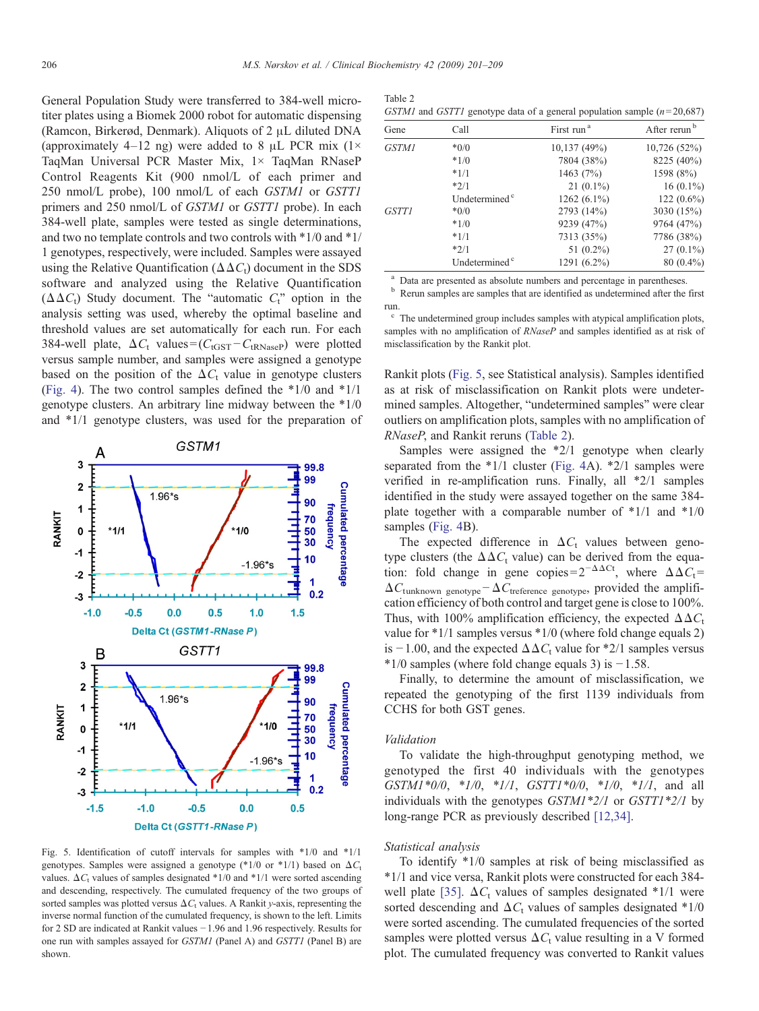<span id="page-5-0"></span>General Population Study were transferred to 384-well microtiter plates using a Biomek 2000 robot for automatic dispensing (Ramcon, Birkerød, Denmark). Aliquots of 2 μL diluted DNA (approximately 4–12 ng) were added to 8  $\mu$ L PCR mix (1× TaqMan Universal PCR Master Mix, 1× TaqMan RNaseP Control Reagents Kit (900 nmol/L of each primer and 250 nmol/L probe), 100 nmol/L of each GSTM1 or GSTT1 primers and 250 nmol/L of GSTM1 or GSTT1 probe). In each 384-well plate, samples were tested as single determinations, and two no template controls and two controls with \*1/0 and \*1/ 1 genotypes, respectively, were included. Samples were assayed using the Relative Quantification ( $\Delta \Delta C_t$ ) document in the SDS software and analyzed using the Relative Quantification ( $\Delta \Delta C_t$ ) Study document. The "automatic  $C_t$ " option in the analysis setting was used, whereby the optimal baseline and threshold values are set automatically for each run. For each 384-well plate,  $\Delta C_t$  values = ( $C_{tGST} - C_{tRNaseP}$ ) were plotted versus sample number, and samples were assigned a genotype based on the position of the  $\Delta C_t$  value in genotype clusters ([Fig. 4\)](#page-4-0). The two control samples defined the \*1/0 and \*1/1 genotype clusters. An arbitrary line midway between the \*1/0 and \*1/1 genotype clusters, was used for the preparation of



Fig. 5. Identification of cutoff intervals for samples with \*1/0 and \*1/1 genotypes. Samples were assigned a genotype (\*1/0 or \*1/1) based on  $\Delta C_t$ values.  $\Delta C_t$  values of samples designated \*1/0 and \*1/1 were sorted ascending and descending, respectively. The cumulated frequency of the two groups of sorted samples was plotted versus  $\Delta C_t$  values. A Rankit y-axis, representing the inverse normal function of the cumulated frequency, is shown to the left. Limits for 2 SD are indicated at Rankit values −1.96 and 1.96 respectively. Results for one run with samples assayed for GSTM1 (Panel A) and GSTT1 (Panel B) are shown.

| Table 2 |                                                                                           |  |
|---------|-------------------------------------------------------------------------------------------|--|
|         | <i>GSTM1</i> and <i>GSTT1</i> genotype data of a general population sample ( $n=20,687$ ) |  |

| Gene         | Call                      | First run <sup>a</sup> | After rerun <sup>b</sup> |
|--------------|---------------------------|------------------------|--------------------------|
| <b>GSTM1</b> | $*0/0$                    | 10,137(49%)            | 10,726(52%)              |
|              | $*1/0$                    | 7804 (38%)             | 8225 (40%)               |
|              | $*1/1$                    | 1463 $(7%)$            | 1598 (8%)                |
|              | $*2/1$                    | $21(0.1\%)$            | $16(0.1\%)$              |
|              | Undetermined <sup>c</sup> | 1262 $(6.1\%)$         | 122 $(0.6\%)$            |
| <b>GSTT1</b> | $*0/0$                    | 2793 (14%)             | 3030 (15%)               |
|              | $*1/0$                    | 9239 (47%)             | 9764 (47%)               |
|              | $*1/1$                    | 7313 (35%)             | 7786 (38%)               |
|              | $*2/1$                    | 51 $(0.2\%)$           | $27(0.1\%)$              |
|              | Undetermined <sup>c</sup> | 1291 (6.2%)            | $80(0.4\%)$              |

<sup>a</sup> Data are presented as absolute numbers and percentage in parentheses.  $\frac{b}{c}$  Rerun samples are samples that are identified as undetermined after the first run.

<sup>c</sup> The undetermined group includes samples with atypical amplification plots, samples with no amplification of RNaseP and samples identified as at risk of misclassification by the Rankit plot.

Rankit plots (Fig. 5, see Statistical analysis). Samples identified as at risk of misclassification on Rankit plots were undetermined samples. Altogether, "undetermined samples" were clear outliers on amplification plots, samples with no amplification of RNaseP, and Rankit reruns (Table 2).

Samples were assigned the \*2/1 genotype when clearly separated from the \*1/1 cluster ([Fig. 4](#page-4-0)A). \*2/1 samples were verified in re-amplification runs. Finally, all \*2/1 samples identified in the study were assayed together on the same 384 plate together with a comparable number of  $*1/1$  and  $*1/0$ samples ([Fig. 4](#page-4-0)B).

The expected difference in  $\Delta C_t$  values between genotype clusters (the  $\Delta \Delta C_t$  value) can be derived from the equation: fold change in gene copies= $2^{-\Delta\Delta Ct}$ , where  $\Delta\Delta C_t$ =  $\Delta C_{\text{tunknown genotype}} - \Delta C_{\text{treference genotype}}$ , provided the amplification efficiency of both control and target gene is close to 100%. Thus, with 100% amplification efficiency, the expected  $\Delta \Delta C_t$ value for \*1/1 samples versus \*1/0 (where fold change equals 2) is −1.00, and the expected  $\Delta \Delta C_t$  value for \*2/1 samples versus  $*1/0$  samples (where fold change equals 3) is  $-1.58$ .

Finally, to determine the amount of misclassification, we repeated the genotyping of the first 1139 individuals from CCHS for both GST genes.

#### Validation

To validate the high-throughput genotyping method, we genotyped the first 40 individuals with the genotypes  $GSTM1*0/0$ ,  $*1/0$ ,  $*1/1$ ,  $GSTT1*0/0$ ,  $*1/0$ ,  $*1/1$ , and all individuals with the genotypes  $GSTM1*2/1$  or  $GST1*2/1$  by long-range PCR as previously described [\[12,34\]](#page-8-0).

# Statistical analysis

To identify \*1/0 samples at risk of being misclassified as \*1/1 and vice versa, Rankit plots were constructed for each 384- well plate [\[35\]](#page-8-0).  $\Delta C_t$  values of samples designated \*1/1 were sorted descending and  $\Delta C_t$  values of samples designated \*1/0 were sorted ascending. The cumulated frequencies of the sorted samples were plotted versus  $\Delta C_t$  value resulting in a V formed plot. The cumulated frequency was converted to Rankit values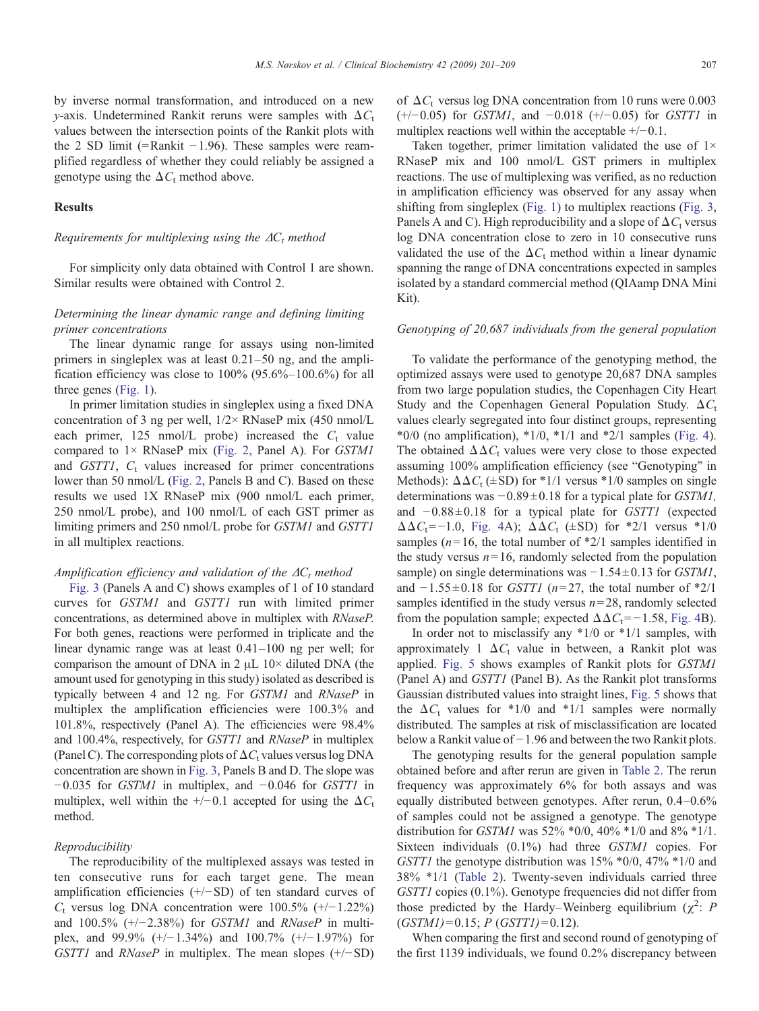by inverse normal transformation, and introduced on a new y-axis. Undetermined Rankit reruns were samples with  $\Delta C_t$ values between the intersection points of the Rankit plots with the 2 SD limit (=Rankit −1.96). These samples were reamplified regardless of whether they could reliably be assigned a genotype using the  $\Delta C_t$  method above.

# Results

# Requirements for multiplexing using the  $\Delta C_t$  method

For simplicity only data obtained with Control 1 are shown. Similar results were obtained with Control 2.

# Determining the linear dynamic range and defining limiting primer concentrations

The linear dynamic range for assays using non-limited primers in singleplex was at least 0.21–50 ng, and the amplification efficiency was close to  $100\%$  (95.6%–100.6%) for all three genes ([Fig. 1\)](#page-2-0).

In primer limitation studies in singleplex using a fixed DNA concentration of 3 ng per well,  $1/2 \times RNaseP$  mix (450 nmol/L each primer, 125 nmol/L probe) increased the  $C_t$  value compared to  $1 \times$  RNaseP mix ([Fig. 2](#page-3-0), Panel A). For GSTM1 and  $GSTTI$ ,  $C<sub>t</sub>$  values increased for primer concentrations lower than 50 nmol/L [\(Fig. 2,](#page-3-0) Panels B and C). Based on these results we used 1X RNaseP mix (900 nmol/L each primer, 250 nmol/L probe), and 100 nmol/L of each GST primer as limiting primers and 250 nmol/L probe for GSTM1 and GSTT1 in all multiplex reactions.

## Amplification efficiency and validation of the  $\Delta C_t$  method

[Fig. 3](#page-3-0) (Panels A and C) shows examples of 1 of 10 standard curves for GSTM1 and GSTT1 run with limited primer concentrations, as determined above in multiplex with RNaseP. For both genes, reactions were performed in triplicate and the linear dynamic range was at least 0.41–100 ng per well; for comparison the amount of DNA in 2  $\mu$ L 10× diluted DNA (the amount used for genotyping in this study) isolated as described is typically between 4 and 12 ng. For GSTM1 and RNaseP in multiplex the amplification efficiencies were 100.3% and 101.8%, respectively (Panel A). The efficiencies were 98.4% and 100.4%, respectively, for GSTT1 and RNaseP in multiplex (Panel C). The corresponding plots of  $\Delta C_t$  values versus log DNA concentration are shown in [Fig. 3](#page-3-0), Panels B and D. The slope was  $-0.035$  for *GSTM1* in multiplex, and  $-0.046$  for *GSTT1* in multiplex, well within the +/−0.1 accepted for using the  $\Delta C_t$ method.

## Reproducibility

The reproducibility of the multiplexed assays was tested in ten consecutive runs for each target gene. The mean amplification efficiencies (+/−SD) of ten standard curves of  $C_t$  versus log DNA concentration were 100.5% (+/−1.22%) and  $100.5\%$  (+/−2.38%) for GSTM1 and RNaseP in multiplex, and 99.9% (+/−1.34%) and 100.7% (+/−1.97%) for GSTT1 and  $RNaseP$  in multiplex. The mean slopes  $(+/-SD)$  of  $\Delta C_t$  versus log DNA concentration from 10 runs were 0.003  $(+/-0.05)$  for *GSTM1*, and  $-0.018 (+/-0.05)$  for *GSTT1* in multiplex reactions well within the acceptable  $+/-0.1$ .

Taken together, primer limitation validated the use of  $1\times$ RNaseP mix and 100 nmol/L GST primers in multiplex reactions. The use of multiplexing was verified, as no reduction in amplification efficiency was observed for any assay when shifting from singleplex ([Fig. 1](#page-2-0)) to multiplex reactions [\(Fig. 3](#page-3-0), Panels A and C). High reproducibility and a slope of  $\Delta C_t$  versus log DNA concentration close to zero in 10 consecutive runs validated the use of the  $\Delta C_t$  method within a linear dynamic spanning the range of DNA concentrations expected in samples isolated by a standard commercial method (QIAamp DNA Mini Kit).

#### Genotyping of 20,687 individuals from the general population

To validate the performance of the genotyping method, the optimized assays were used to genotype 20,687 DNA samples from two large population studies, the Copenhagen City Heart Study and the Copenhagen General Population Study.  $\Delta C_t$ values clearly segregated into four distinct groups, representing  $*0/0$  (no amplification),  $*1/0$ ,  $*1/1$  and  $*2/1$  samples ([Fig. 4\)](#page-4-0). The obtained  $\Delta \Delta C_t$  values were very close to those expected assuming 100% amplification efficiency (see "Genotyping" in Methods):  $\Delta \Delta C_t$  (±SD) for \*1/1 versus \*1/0 samples on single determinations was  $-0.89 \pm 0.18$  for a typical plate for *GSTM1*, and  $-0.88 \pm 0.18$  for a typical plate for *GSTT1* (expected  $\Delta \Delta C_t$ =−1.0, [Fig. 4A](#page-4-0));  $\Delta \Delta C_t$  (±SD) for \*2/1 versus \*1/0 samples ( $n=16$ , the total number of  $2/1$  samples identified in the study versus  $n=16$ , randomly selected from the population sample) on single determinations was  $-1.54 \pm 0.13$  for *GSTM1*, and  $-1.55 \pm 0.18$  for *GSTT1* (n=27, the total number of \*2/1 samples identified in the study versus  $n=28$ , randomly selected from the population sample; expected  $\Delta \Delta C_t$ =−1.58, [Fig. 4](#page-4-0)B).

In order not to misclassify any \*1/0 or \*1/1 samples, with approximately 1  $\Delta C_t$  value in between, a Rankit plot was applied. [Fig. 5](#page-5-0) shows examples of Rankit plots for GSTM1 (Panel A) and GSTT1 (Panel B). As the Rankit plot transforms Gaussian distributed values into straight lines, [Fig. 5](#page-5-0) shows that the  $\Delta C_t$  values for \*1/0 and \*1/1 samples were normally distributed. The samples at risk of misclassification are located below a Rankit value of −1.96 and between the two Rankit plots.

The genotyping results for the general population sample obtained before and after rerun are given in [Table 2](#page-5-0). The rerun frequency was approximately 6% for both assays and was equally distributed between genotypes. After rerun, 0.4–0.6% of samples could not be assigned a genotype. The genotype distribution for GSTM1 was 52% \*0/0, 40% \*1/0 and 8% \*1/1. Sixteen individuals (0.1%) had three GSTM1 copies. For GSTT1 the genotype distribution was 15% \*0/0, 47% \*1/0 and 38% \*1/1 [\(Table 2\)](#page-5-0). Twenty-seven individuals carried three GSTT1 copies (0.1%). Genotype frequencies did not differ from those predicted by the Hardy–Weinberg equilibrium ( $\chi^2$ : *F*  $(GSTMI)=0.15; P(GSTTI)=0.12$ ).

When comparing the first and second round of genotyping of the first 1139 individuals, we found 0.2% discrepancy between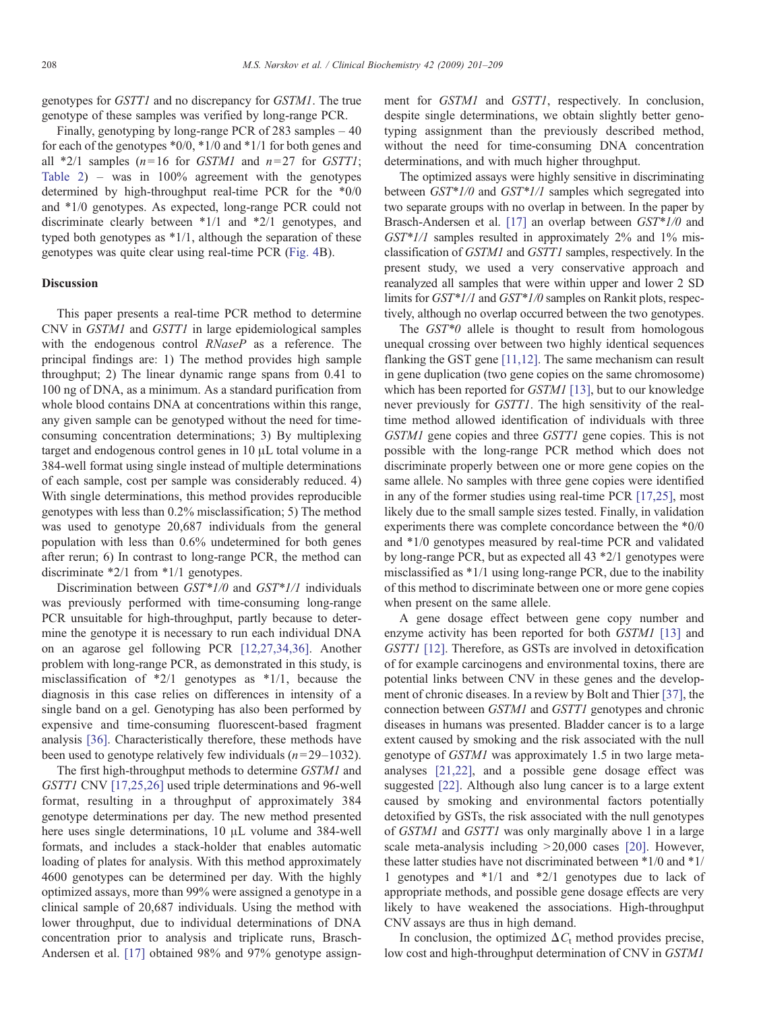genotypes for GSTT1 and no discrepancy for GSTM1. The true genotype of these samples was verified by long-range PCR.

Finally, genotyping by long-range PCR of 283 samples  $-40$ for each of the genotypes \*0/0, \*1/0 and \*1/1 for both genes and all  $*2/1$  samples (n=16 for *GSTM1* and n=27 for *GSTT1*; [Table 2\)](#page-5-0) – was in 100% agreement with the genotypes determined by high-throughput real-time PCR for the \*0/0 and \*1/0 genotypes. As expected, long-range PCR could not discriminate clearly between \*1/1 and \*2/1 genotypes, and typed both genotypes as \*1/1, although the separation of these genotypes was quite clear using real-time PCR ([Fig. 4B](#page-4-0)).

## Discussion

This paper presents a real-time PCR method to determine CNV in GSTM1 and GSTT1 in large epidemiological samples with the endogenous control RNaseP as a reference. The principal findings are: 1) The method provides high sample throughput; 2) The linear dynamic range spans from 0.41 to 100 ng of DNA, as a minimum. As a standard purification from whole blood contains DNA at concentrations within this range, any given sample can be genotyped without the need for timeconsuming concentration determinations; 3) By multiplexing target and endogenous control genes in 10 μL total volume in a 384-well format using single instead of multiple determinations of each sample, cost per sample was considerably reduced. 4) With single determinations, this method provides reproducible genotypes with less than 0.2% misclassification; 5) The method was used to genotype 20,687 individuals from the general population with less than 0.6% undetermined for both genes after rerun; 6) In contrast to long-range PCR, the method can discriminate \*2/1 from \*1/1 genotypes.

Discrimination between GST\*1/0 and GST\*1/1 individuals was previously performed with time-consuming long-range PCR unsuitable for high-throughput, partly because to determine the genotype it is necessary to run each individual DNA on an agarose gel following PCR [\[12,27,34,36\].](#page-8-0) Another problem with long-range PCR, as demonstrated in this study, is misclassification of \*2/1 genotypes as \*1/1, because the diagnosis in this case relies on differences in intensity of a single band on a gel. Genotyping has also been performed by expensive and time-consuming fluorescent-based fragment analysis [\[36\]](#page-8-0). Characteristically therefore, these methods have been used to genotype relatively few individuals  $(n=29-1032)$ .

The first high-throughput methods to determine GSTM1 and GSTT1 CNV [\[17,25,26\]](#page-8-0) used triple determinations and 96-well format, resulting in a throughput of approximately 384 genotype determinations per day. The new method presented here uses single determinations, 10 μL volume and 384-well formats, and includes a stack-holder that enables automatic loading of plates for analysis. With this method approximately 4600 genotypes can be determined per day. With the highly optimized assays, more than 99% were assigned a genotype in a clinical sample of 20,687 individuals. Using the method with lower throughput, due to individual determinations of DNA concentration prior to analysis and triplicate runs, Brasch-Andersen et al. [\[17\]](#page-8-0) obtained 98% and 97% genotype assignment for GSTM1 and GSTT1, respectively. In conclusion, despite single determinations, we obtain slightly better genotyping assignment than the previously described method, without the need for time-consuming DNA concentration determinations, and with much higher throughput.

The optimized assays were highly sensitive in discriminating between GST\*1/0 and GST\*1/1 samples which segregated into two separate groups with no overlap in between. In the paper by Brasch-Andersen et al. [\[17\]](#page-8-0) an overlap between GST\*1/0 and  $GST*1/1$  samples resulted in approximately 2% and 1% misclassification of GSTM1 and GSTT1 samples, respectively. In the present study, we used a very conservative approach and reanalyzed all samples that were within upper and lower 2 SD limits for GST\*1/1 and GST\*1/0 samples on Rankit plots, respectively, although no overlap occurred between the two genotypes.

The  $GST*0$  allele is thought to result from homologous unequal crossing over between two highly identical sequences flanking the GST gene [\[11,12\]](#page-8-0). The same mechanism can result in gene duplication (two gene copies on the same chromosome) which has been reported for *GSTM1* [\[13\],](#page-8-0) but to our knowledge never previously for GSTT1. The high sensitivity of the realtime method allowed identification of individuals with three GSTM1 gene copies and three GSTT1 gene copies. This is not possible with the long-range PCR method which does not discriminate properly between one or more gene copies on the same allele. No samples with three gene copies were identified in any of the former studies using real-time PCR [\[17,25\]](#page-8-0), most likely due to the small sample sizes tested. Finally, in validation experiments there was complete concordance between the \*0/0 and \*1/0 genotypes measured by real-time PCR and validated by long-range PCR, but as expected all 43 \*2/1 genotypes were misclassified as \*1/1 using long-range PCR, due to the inability of this method to discriminate between one or more gene copies when present on the same allele.

A gene dosage effect between gene copy number and enzyme activity has been reported for both GSTM1 [\[13\]](#page-8-0) and GSTT1 [\[12\]](#page-8-0). Therefore, as GSTs are involved in detoxification of for example carcinogens and environmental toxins, there are potential links between CNV in these genes and the development of chronic diseases. In a review by Bolt and Thier [\[37\]](#page-8-0), the connection between GSTM1 and GSTT1 genotypes and chronic diseases in humans was presented. Bladder cancer is to a large extent caused by smoking and the risk associated with the null genotype of GSTM1 was approximately 1.5 in two large metaanalyses [\[21,22\],](#page-8-0) and a possible gene dosage effect was suggested [\[22\].](#page-8-0) Although also lung cancer is to a large extent caused by smoking and environmental factors potentially detoxified by GSTs, the risk associated with the null genotypes of GSTM1 and GSTT1 was only marginally above 1 in a large scale meta-analysis including  $>20,000$  cases [\[20\]](#page-8-0). However, these latter studies have not discriminated between \*1/0 and \*1/ 1 genotypes and \*1/1 and \*2/1 genotypes due to lack of appropriate methods, and possible gene dosage effects are very likely to have weakened the associations. High-throughput CNV assays are thus in high demand.

In conclusion, the optimized  $\Delta C_t$  method provides precise, low cost and high-throughput determination of CNV in GSTM1